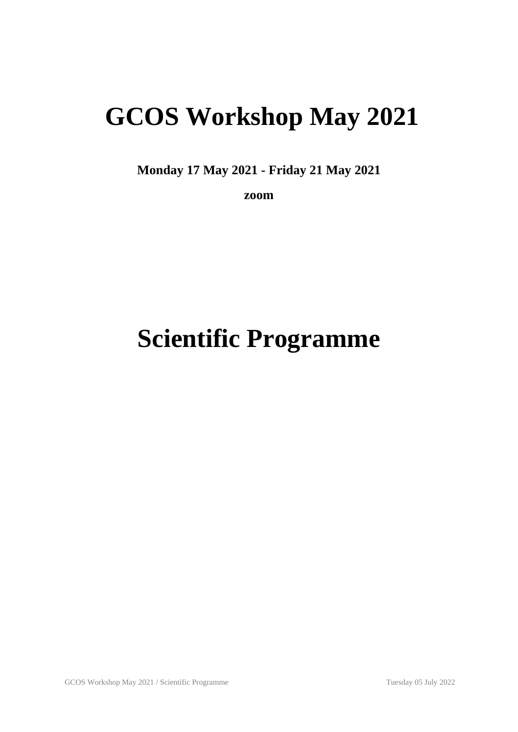## **GCOS Workshop May 2021**

**Monday 17 May 2021 - Friday 21 May 2021**

**zoom**

# **Scientific Programme**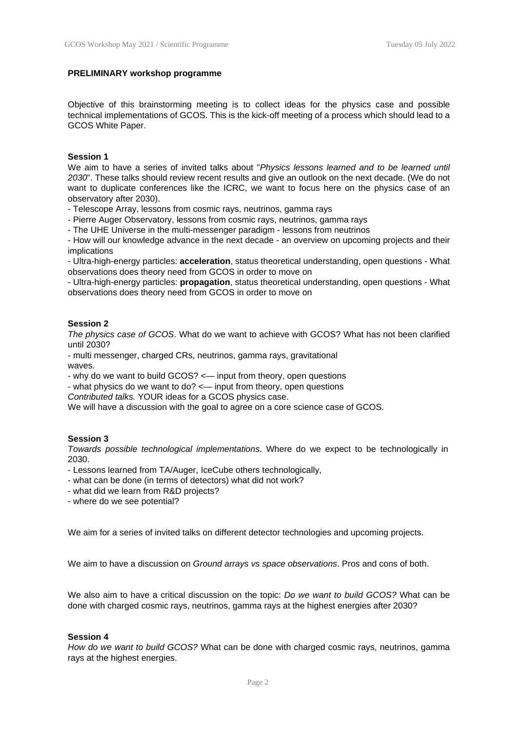#### **PRELIMINARY workshop programme**

Objective of this brainstorming meeting is to collect ideas for the physics case and possible technical implementations of GCOS. This is the kick-off meeting of a process which should lead to a GCOS White Paper.

#### **Session 1**

We aim to have a series of invited talks about "*Physics lessons learned and to be learned until 2030*". These talks should review recent results and give an outlook on the next decade. (We do not want to duplicate conferences like the ICRC, we want to focus here on the physics case of an observatory after 2030).

- Telescope Array, lessons from cosmic rays, neutrinos, gamma rays

- Pierre Auger Observatory, lessons from cosmic rays, neutrinos, gamma rays

- The UHE Universe in the multi-messenger paradigm - lessons from neutrinos

- How will our knowledge advance in the next decade - an overview on upcoming projects and their implications

- Ultra-high-energy particles: **acceleration**, status theoretical understanding, open questions - What observations does theory need from GCOS in order to move on

- Ultra-high-energy particles: **propagation**, status theoretical understanding, open questions - What observations does theory need from GCOS in order to move on

#### **Session 2**

*The physics case of GCOS*. What do we want to achieve with GCOS? What has not been clarified until 2030?

- multi messenger, charged CRs, neutrinos, gamma rays, gravitational waves.

- why do we want to build GCOS? <— input from theory, open questions

- what physics do we want to do? <— input from theory, open questions

*Contributed talks.* YOUR ideas for a GCOS physics case.

We will have a discussion with the goal to agree on a core science case of GCOS.

#### **Session 3**

*Towards possible technological implementations*. Where do we expect to be technologically in 2030.

- Lessons learned from TA/Auger, IceCube others technologically,
- what can be done (in terms of detectors) what did not work?
- what did we learn from R&D projects?
- where do we see potential?

We aim for a series of invited talks on different detector technologies and upcoming projects.

We aim to have a discussion on *Ground arrays vs space observations*. Pros and cons of both.

We also aim to have a critical discussion on the topic: *Do we want to build GCOS?* What can be done with charged cosmic rays, neutrinos, gamma rays at the highest energies after 2030?

#### **Session 4**

*How do we want to build GCOS?* What can be done with charged cosmic rays, neutrinos, gamma rays at the highest energies.